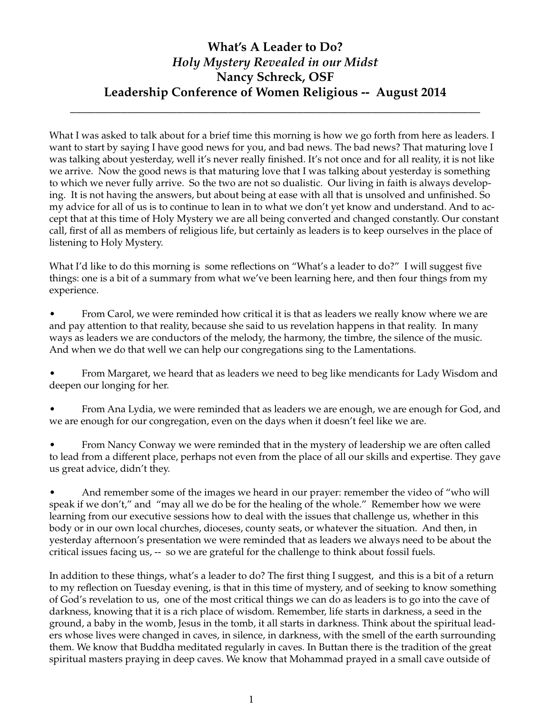## **What's A Leader to Do?** *Holy Mystery Revealed in our Midst* **Nancy Schreck, OSF Leadership Conference of Women Religious -- August 2014**

**\_\_\_\_\_\_\_\_\_\_\_\_\_\_\_\_\_\_\_\_\_\_\_\_\_\_\_\_\_\_\_\_\_\_\_\_\_\_\_\_\_\_\_\_\_\_\_\_\_\_\_\_\_\_\_\_\_\_\_\_\_\_\_\_\_**

What I was asked to talk about for a brief time this morning is how we go forth from here as leaders. I want to start by saying I have good news for you, and bad news. The bad news? That maturing love I was talking about yesterday, well it's never really finished. It's not once and for all reality, it is not like we arrive. Now the good news is that maturing love that I was talking about yesterday is something to which we never fully arrive. So the two are not so dualistic. Our living in faith is always developing. It is not having the answers, but about being at ease with all that is unsolved and unfinished. So my advice for all of us is to continue to lean in to what we don't yet know and understand. And to accept that at this time of Holy Mystery we are all being converted and changed constantly. Our constant call, first of all as members of religious life, but certainly as leaders is to keep ourselves in the place of listening to Holy Mystery.

What I'd like to do this morning is some reflections on "What's a leader to do?" I will suggest five things: one is a bit of a summary from what we've been learning here, and then four things from my experience.

From Carol, we were reminded how critical it is that as leaders we really know where we are and pay attention to that reality, because she said to us revelation happens in that reality. In many ways as leaders we are conductors of the melody, the harmony, the timbre, the silence of the music. And when we do that well we can help our congregations sing to the Lamentations.

From Margaret, we heard that as leaders we need to beg like mendicants for Lady Wisdom and deepen our longing for her.

From Ana Lydia, we were reminded that as leaders we are enough, we are enough for God, and we are enough for our congregation, even on the days when it doesn't feel like we are.

From Nancy Conway we were reminded that in the mystery of leadership we are often called to lead from a different place, perhaps not even from the place of all our skills and expertise. They gave us great advice, didn't they.

And remember some of the images we heard in our prayer: remember the video of "who will speak if we don't," and "may all we do be for the healing of the whole." Remember how we were learning from our executive sessions how to deal with the issues that challenge us, whether in this body or in our own local churches, dioceses, county seats, or whatever the situation. And then, in yesterday afternoon's presentation we were reminded that as leaders we always need to be about the critical issues facing us, -- so we are grateful for the challenge to think about fossil fuels.

In addition to these things, what's a leader to do? The first thing I suggest, and this is a bit of a return to my reflection on Tuesday evening, is that in this time of mystery, and of seeking to know something of God's revelation to us, one of the most critical things we can do as leaders is to go into the cave of darkness, knowing that it is a rich place of wisdom. Remember, life starts in darkness, a seed in the ground, a baby in the womb, Jesus in the tomb, it all starts in darkness. Think about the spiritual leaders whose lives were changed in caves, in silence, in darkness, with the smell of the earth surrounding them. We know that Buddha meditated regularly in caves. In Buttan there is the tradition of the great spiritual masters praying in deep caves. We know that Mohammad prayed in a small cave outside of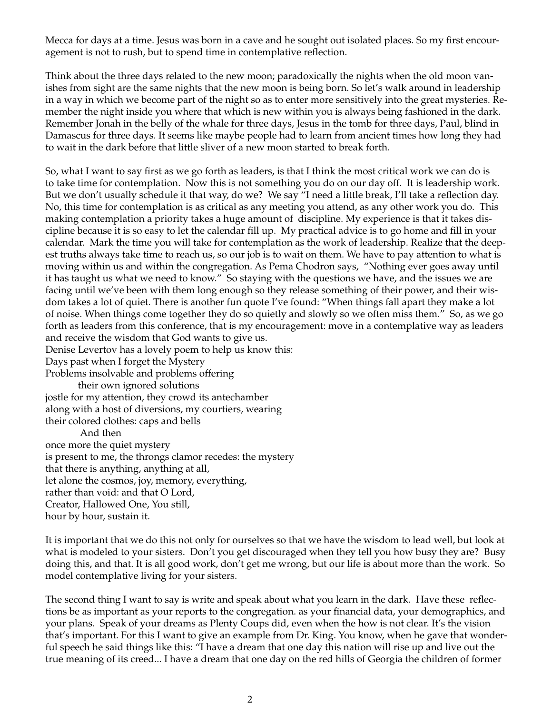Mecca for days at a time. Jesus was born in a cave and he sought out isolated places. So my first encouragement is not to rush, but to spend time in contemplative reflection.

Think about the three days related to the new moon; paradoxically the nights when the old moon vanishes from sight are the same nights that the new moon is being born. So let's walk around in leadership in a way in which we become part of the night so as to enter more sensitively into the great mysteries. Remember the night inside you where that which is new within you is always being fashioned in the dark. Remember Jonah in the belly of the whale for three days, Jesus in the tomb for three days, Paul, blind in Damascus for three days. It seems like maybe people had to learn from ancient times how long they had to wait in the dark before that little sliver of a new moon started to break forth.

So, what I want to say first as we go forth as leaders, is that I think the most critical work we can do is to take time for contemplation. Now this is not something you do on our day off. It is leadership work. But we don't usually schedule it that way, do we? We say "I need a little break, I'll take a reflection day. No, this time for contemplation is as critical as any meeting you attend, as any other work you do. This making contemplation a priority takes a huge amount of discipline. My experience is that it takes discipline because it is so easy to let the calendar fill up. My practical advice is to go home and fill in your calendar. Mark the time you will take for contemplation as the work of leadership. Realize that the deepest truths always take time to reach us, so our job is to wait on them. We have to pay attention to what is moving within us and within the congregation. As Pema Chodron says, "Nothing ever goes away until it has taught us what we need to know." So staying with the questions we have, and the issues we are facing until we've been with them long enough so they release something of their power, and their wisdom takes a lot of quiet. There is another fun quote I've found: "When things fall apart they make a lot of noise. When things come together they do so quietly and slowly so we often miss them." So, as we go forth as leaders from this conference, that is my encouragement: move in a contemplative way as leaders and receive the wisdom that God wants to give us.

Denise Levertov has a lovely poem to help us know this:

Days past when I forget the Mystery

Problems insolvable and problems offering

their own ignored solutions

jostle for my attention, they crowd its antechamber along with a host of diversions, my courtiers, wearing their colored clothes: caps and bells And then once more the quiet mystery is present to me, the throngs clamor recedes: the mystery that there is anything, anything at all, let alone the cosmos, joy, memory, everything, rather than void: and that O Lord,

Creator, Hallowed One, You still,

hour by hour, sustain it.

It is important that we do this not only for ourselves so that we have the wisdom to lead well, but look at what is modeled to your sisters. Don't you get discouraged when they tell you how busy they are? Busy doing this, and that. It is all good work, don't get me wrong, but our life is about more than the work. So model contemplative living for your sisters.

The second thing I want to say is write and speak about what you learn in the dark. Have these reflections be as important as your reports to the congregation. as your financial data, your demographics, and your plans. Speak of your dreams as Plenty Coups did, even when the how is not clear. It's the vision that's important. For this I want to give an example from Dr. King. You know, when he gave that wonderful speech he said things like this: "I have a dream that one day this nation will rise up and live out the true meaning of its creed... I have a dream that one day on the red hills of Georgia the children of former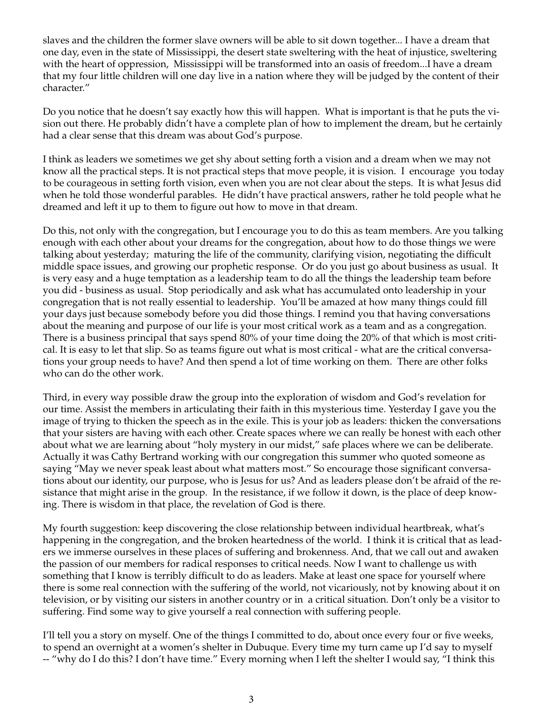slaves and the children the former slave owners will be able to sit down together... I have a dream that one day, even in the state of Mississippi, the desert state sweltering with the heat of injustice, sweltering with the heart of oppression, Mississippi will be transformed into an oasis of freedom...I have a dream that my four little children will one day live in a nation where they will be judged by the content of their character."

Do you notice that he doesn't say exactly how this will happen. What is important is that he puts the vision out there. He probably didn't have a complete plan of how to implement the dream, but he certainly had a clear sense that this dream was about God's purpose.

I think as leaders we sometimes we get shy about setting forth a vision and a dream when we may not know all the practical steps. It is not practical steps that move people, it is vision. I encourage you today to be courageous in setting forth vision, even when you are not clear about the steps. It is what Jesus did when he told those wonderful parables. He didn't have practical answers, rather he told people what he dreamed and left it up to them to figure out how to move in that dream.

Do this, not only with the congregation, but I encourage you to do this as team members. Are you talking enough with each other about your dreams for the congregation, about how to do those things we were talking about yesterday; maturing the life of the community, clarifying vision, negotiating the difficult middle space issues, and growing our prophetic response. Or do you just go about business as usual. It is very easy and a huge temptation as a leadership team to do all the things the leadership team before you did - business as usual. Stop periodically and ask what has accumulated onto leadership in your congregation that is not really essential to leadership. You'll be amazed at how many things could fill your days just because somebody before you did those things. I remind you that having conversations about the meaning and purpose of our life is your most critical work as a team and as a congregation. There is a business principal that says spend 80% of your time doing the 20% of that which is most critical. It is easy to let that slip. So as teams figure out what is most critical - what are the critical conversations your group needs to have? And then spend a lot of time working on them. There are other folks who can do the other work.

Third, in every way possible draw the group into the exploration of wisdom and God's revelation for our time. Assist the members in articulating their faith in this mysterious time. Yesterday I gave you the image of trying to thicken the speech as in the exile. This is your job as leaders: thicken the conversations that your sisters are having with each other. Create spaces where we can really be honest with each other about what we are learning about "holy mystery in our midst," safe places where we can be deliberate. Actually it was Cathy Bertrand working with our congregation this summer who quoted someone as saying "May we never speak least about what matters most." So encourage those significant conversations about our identity, our purpose, who is Jesus for us? And as leaders please don't be afraid of the resistance that might arise in the group. In the resistance, if we follow it down, is the place of deep knowing. There is wisdom in that place, the revelation of God is there.

My fourth suggestion: keep discovering the close relationship between individual heartbreak, what's happening in the congregation, and the broken heartedness of the world. I think it is critical that as leaders we immerse ourselves in these places of suffering and brokenness. And, that we call out and awaken the passion of our members for radical responses to critical needs. Now I want to challenge us with something that I know is terribly difficult to do as leaders. Make at least one space for yourself where there is some real connection with the suffering of the world, not vicariously, not by knowing about it on television, or by visiting our sisters in another country or in a critical situation. Don't only be a visitor to suffering. Find some way to give yourself a real connection with suffering people.

I'll tell you a story on myself. One of the things I committed to do, about once every four or five weeks, to spend an overnight at a women's shelter in Dubuque. Every time my turn came up I'd say to myself -- "why do I do this? I don't have time." Every morning when I left the shelter I would say, "I think this